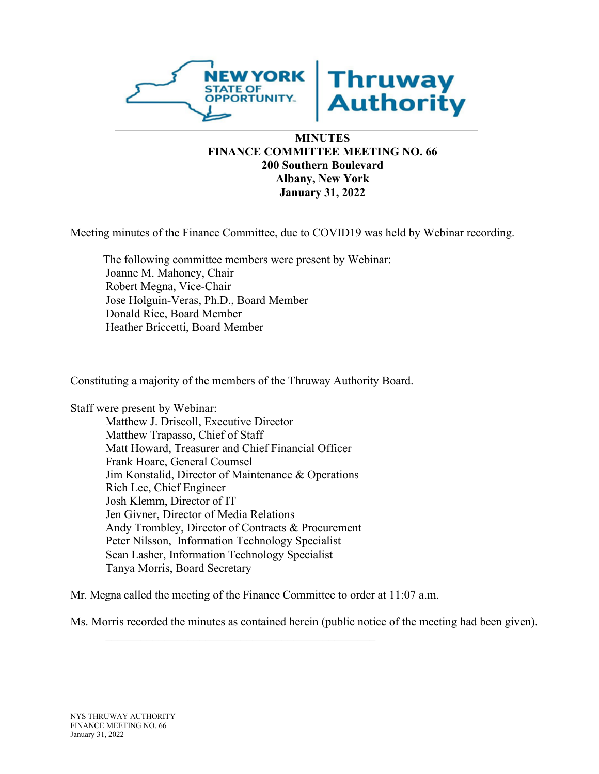

## **MINUTES FINANCE COMMITTEE MEETING NO. 66 200 Southern Boulevard Albany, New York January 31, 2022**

Meeting minutes of the Finance Committee, due to COVID19 was held by Webinar recording.

The following committee members were present by Webinar: Joanne M. Mahoney, Chair Robert Megna, Vice-Chair Jose Holguin-Veras, Ph.D., Board Member Donald Rice, Board Member Heather Briccetti, Board Member

Constituting a majority of the members of the Thruway Authority Board.

Staff were present by Webinar:

Matthew J. Driscoll, Executive Director Matthew Trapasso, Chief of Staff Matt Howard, Treasurer and Chief Financial Officer Frank Hoare, General Coumsel Jim Konstalid, Director of Maintenance & Operations Rich Lee, Chief Engineer Josh Klemm, Director of IT Jen Givner, Director of Media Relations Andy Trombley, Director of Contracts & Procurement Peter Nilsson, Information Technology Specialist Sean Lasher, Information Technology Specialist Tanya Morris, Board Secretary

 $\mathcal{L}=\mathcal{L}=\mathcal{L}$  , which is a set of the set of the set of the set of the set of the set of the set of the set of the set of the set of the set of the set of the set of the set of the set of the set of the set of the

Mr. Megna called the meeting of the Finance Committee to order at 11:07 a.m.

Ms. Morris recorded the minutes as contained herein (public notice of the meeting had been given).